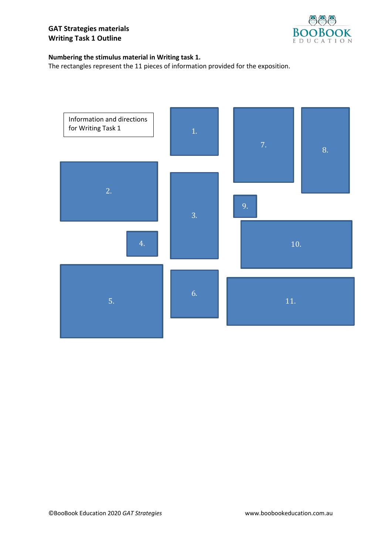

## **Numbering the stimulus material in Writing task 1.**

The rectangles represent the 11 pieces of information provided for the exposition.

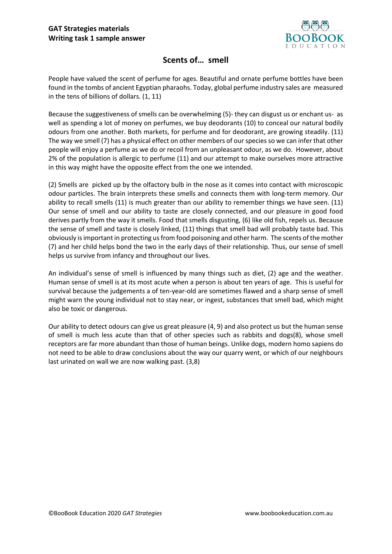

## **Scents of… smell**

People have valued the scent of perfume for ages. Beautiful and ornate perfume bottles have been found in the tombs of ancient Egyptian pharaohs. Today, global perfume industry sales are measured in the tens of billions of dollars. (1, 11)

Because the suggestiveness of smells can be overwhelming (5)- they can disgust us or enchant us- as well as spending a lot of money on perfumes, we buy deodorants (10) to conceal our natural bodily odours from one another. Both markets, for perfume and for deodorant, are growing steadily. (11) The way we smell (7) has a physical effect on other members of our species so we can infer that other people will enjoy a perfume as we do or recoil from an unpleasant odour, as we do. However, about 2% of the population is allergic to perfume (11) and our attempt to make ourselves more attractive in this way might have the opposite effect from the one we intended.

(2) Smells are picked up by the olfactory bulb in the nose as it comes into contact with microscopic odour particles. The brain interprets these smells and connects them with long-term memory. Our ability to recall smells (11) is much greater than our ability to remember things we have seen. (11) Our sense of smell and our ability to taste are closely connected, and our pleasure in good food derives partly from the way it smells. Food that smells disgusting, (6) like old fish, repels us. Because the sense of smell and taste is closely linked, (11) things that smell bad will probably taste bad. This obviously is important in protecting us from food poisoning and other harm. The scents of the mother (7) and her child helps bond the two in the early days of their relationship. Thus, our sense of smell helps us survive from infancy and throughout our lives.

An individual's sense of smell is influenced by many things such as diet, (2) age and the weather. Human sense of smell is at its most acute when a person is about ten years of age. This is useful for survival because the judgements a of ten-year-old are sometimes flawed and a sharp sense of smell might warn the young individual not to stay near, or ingest, substances that smell bad, which might also be toxic or dangerous.

Our ability to detect odours can give us great pleasure (4, 9) and also protect us but the human sense of smell is much less acute than that of other species such as rabbits and dogs(8), whose smell receptors are far more abundant than those of human beings. Unlike dogs, modern homo sapiens do not need to be able to draw conclusions about the way our quarry went, or which of our neighbours last urinated on wall we are now walking past. (3,8)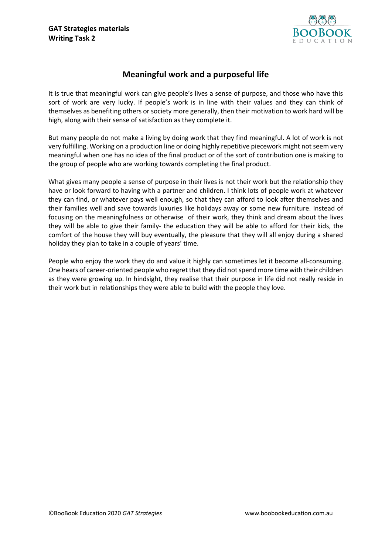

## **Meaningful work and a purposeful life**

It is true that meaningful work can give people's lives a sense of purpose, and those who have this sort of work are very lucky. If people's work is in line with their values and they can think of themselves as benefiting others or society more generally, then their motivation to work hard will be high, along with their sense of satisfaction as they complete it.

But many people do not make a living by doing work that they find meaningful. A lot of work is not very fulfilling. Working on a production line or doing highly repetitive piecework might not seem very meaningful when one has no idea of the final product or of the sort of contribution one is making to the group of people who are working towards completing the final product.

What gives many people a sense of purpose in their lives is not their work but the relationship they have or look forward to having with a partner and children. I think lots of people work at whatever they can find, or whatever pays well enough, so that they can afford to look after themselves and their families well and save towards luxuries like holidays away or some new furniture. Instead of focusing on the meaningfulness or otherwise of their work, they think and dream about the lives they will be able to give their family- the education they will be able to afford for their kids, the comfort of the house they will buy eventually, the pleasure that they will all enjoy during a shared holiday they plan to take in a couple of years' time.

People who enjoy the work they do and value it highly can sometimes let it become all-consuming. One hears of career-oriented people who regret that they did not spend more time with their children as they were growing up. In hindsight, they realise that their purpose in life did not really reside in their work but in relationships they were able to build with the people they love.